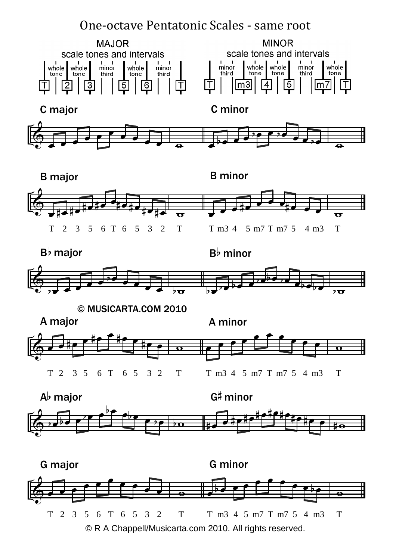## One-octave Pentatonic Scales - same root





Bb major

Bb minor



© MUSICARTA.COM 2010